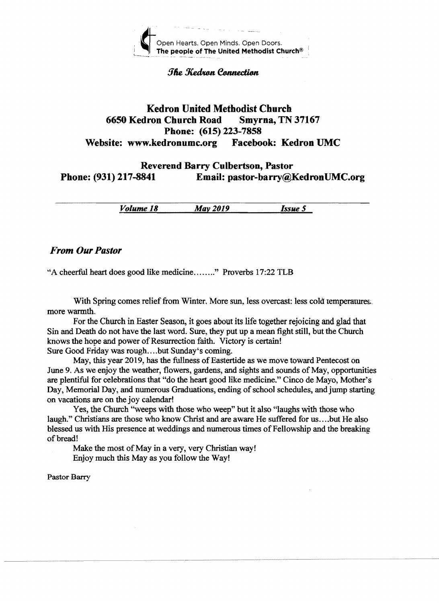

**The Kedran Cannection** 

### Kedron United Methodist Church 6650 Kedron Church Road Smyrna, TN 37167 Phone: (615) 223-7858 Website: www.kedronumc.org Facebook: Kedron UMC

## Reverend Barry Culbertson, Pastor Phone: (931) 217-8841 Email: pastor-barry@KedronUMC.org

*Volume 18 May 2019 Issue 5* 

#### *From Our Pastor*

"A cheerful heart does good like medicine ........" Proverbs 17:22 TLB

With Spring comes relief from Winter. More sun, less overcast: less cold temperatures. more warmth,

For the Church in Easter Season, it goes about its life together rejoicing and glad that Sin and Death do not have the last word. Sure, they put up a mean fight still, but the Church knows the hope and power of Resurrection faith. Victory is certain!

Sure Good Friday was rough....but Sunday's coming.

May, this year 2019, has the fullness of Eastertide as we move toward Pentecost on June 9. As we enjoy the weather, flowers, gardens, and sights and sounds of May, opportunities are plentiful for celebrations that "do the heart good like medicine." Cinco de Mayo, Mother's Day, Memorial Day, and numerous Graduations, ending of school schedules, and jump starting on vacations are on the joy calendar!

Yes, the Church "weeps with those who weep" but it also "laughs with those who laugh." Christians are those who know Christ and are aware He suffered for us ....but He also blessed us with His presence at weddings and numerous times of Fellowship and the breaking of bread!

Make the most of May in a very, very Christian way! Enjoy much this Mayas you follow the Way!

Pastor Barry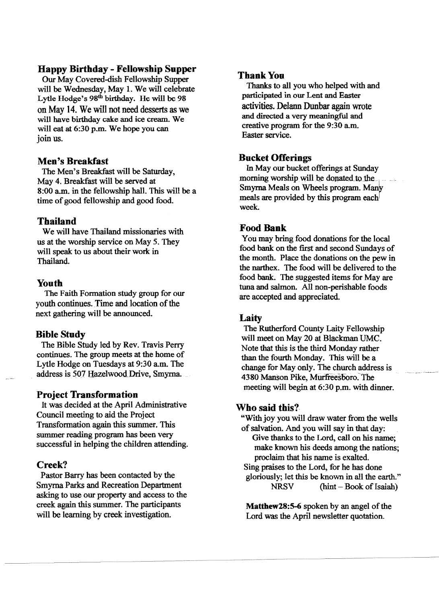#### Happy Birthday - Fellowship Supper

Our May Covered-dish Fellowship Supper will be Wednesday, May 1. We will celebrate Lytle Hodge's 98<sup>th</sup> birthday. He will be 98 on May 14. We will not need desserts as we will have birthday cake and ice cream. We will eat at 6:30 p.m. We hope you can join us.

#### Men's Breakfast

The Men's Breakfast will be Saturday, May 4. Breakfast will be served at  $8:00$  a.m. in the fellowship hall. This will be a time of good fellowship and good food.

#### Thailand

We will have Thailand missionaries with us at the worship service on May 5. They will speak to us about their work in Thailand.

#### Youth

The Faith Formation study group for our youth continues. Time and location of the next gathering will be announced.

#### Bible Study

The Bible Study led by Rev. Travis Perry continues. The group meets at the home of Lytle Hodge on Tuesdays at 9:30 a.m. The address is 507 Hazelwood Drive, Smyrna.

#### Project Transformation

It was decided at the April Administrative Council meeting to aid the Project Transformation again this summer. This summer reading program has been very successful in helping the children attending.

#### Creek?

Pastor Barry has been contacted by the Smyrna Parks and Recreation Department asking to use our property and access to the creek again this summer. The participants will be learning by creek investigation.

#### **Thank You**

Thanks to all you who helped with and participated in our Lent and Easter activities. Delann Dunbar again wrote and directed a very meaningful and creative program for the 9:30 a.m. Easter service.

#### Bucket Offerings

In May our bucket offerings at Sunday morning worship will be donated to the Smyrna Meals on Wheels program. Many meals are provided by this program each week.

#### Food Bank

You may bring food donations for the local food bank on the first and second Sundays of the month. Place the donations on the pew in the narthex. The food will be delivered to the food bank. The suggested items for May are tuna and salmon. All non-perishable foods are accepted and appreciated.

#### Laity

The Rutherford County Laity Fellowship will meet on May 20 at Blackman UMC. Note that this is the third Monday rather than the fourth Monday. This will be a change for May only. The church address is 4380 Manson Pike, Murfreesboro. The meeting will begin at 6:30 p.m. with dinner.

#### Who said this?

"With joy you will draw water from the wells of salvation. And you will say in that day:

Give thanks to the Lord, call on his name; make known his deeds among the nations; proclaim that his name is exalted. Sing praises to the Lord, for he has done

gloriously; let this be known in all the earth."  $NRSV$  (hint – Book of Isaiah)

Matthew28:5-6 spoken by an angel of the Lord was the April newsletter quotation.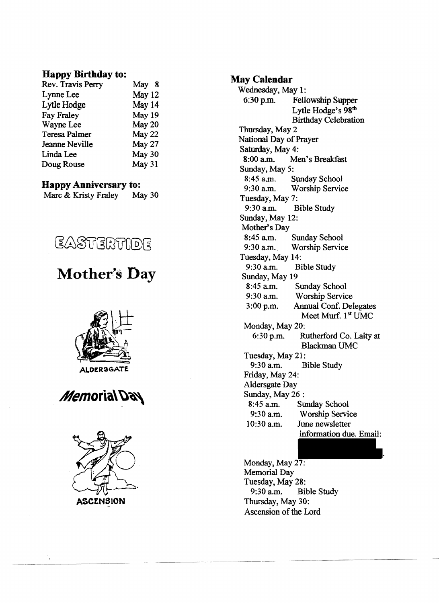#### **Happy Birthday to:**

| May 8  |
|--------|
| May 12 |
| May 14 |
| May 19 |
| May 20 |
| May 22 |
| May 27 |
| May 30 |
| May 31 |
|        |

#### **Happy Anniversary to:**

| Marc & Kristy Fraley |  | May 30 |
|----------------------|--|--------|
|----------------------|--|--------|



# **Mother's Day**







#### **May Calendar**

Wednesday, May 1:<br>6:30 p.m. Felle Fellowship Supper Lytle Hodge's 98<sup>th</sup> Birthday Celebration Thursday, May 2 National Day of Prayer Saturday, May 4:<br>8:00 a.m. Me Men's Breakfast Sunday, May 5:<br>8:45 a.m. 8:45 a.m. Sunday School<br>9:30 a.m. Worship Servic Worship Service Tuesday, May 7:<br>9:30 a.m.  $B$ **Bible Study** Sunday, May 12: Mother's Day 8:45 a.m. Sunday School<br>9:30 a.m. Worship Service Worship Service Tuesday, May 14:<br>9:30 a.m. Bi **Bible Study** Sunday, May  $19$ <br>8:45 a.m. 8:45 a.m. Sunday School<br>9:30 a.m. Worship Servic 9:30 a.m. Worship Service<br>3:00 p.m. Annual Conf. Del Annual Conf. Delegates Meet Murf. 1<sup>st</sup> UMC Monday, May 20: 6:30 p.m. Rutherford Co. Laity at Blackman UMC Tuesday, May 21: 9:30 am. Bible Study Friday, May 24: Aldersgate Day Sunday, May 26 : 8:45 a.m. Sunday School<br>9:30 a.m. Worship Servi 9:30 a.m. Worship Service<br>10:30 a.m. June newsletter June newsletter information due. Email:

Monday, May 27: Memorial Day Tuesday, May 28:<br>9:30 a.m. Bi **Bible Study** Thursdav, May 30: Ascension of the Lord